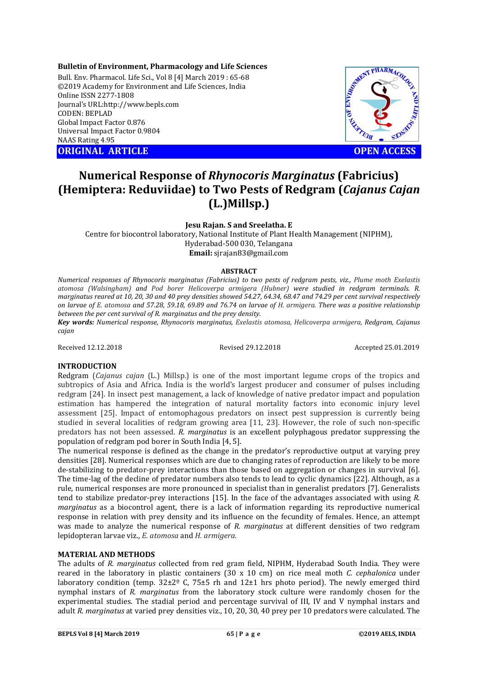## **Bulletin of Environment, Pharmacology and Life Sciences**

Bull. Env. Pharmacol. Life Sci., Vol 8 [4] March 2019 : 65-68 ©2019 Academy for Environment and Life Sciences, India Online ISSN 2277-1808 Journal's URL:http://www.bepls.com CODEN: BEPLAD Global Impact Factor 0.876 Universal Impact Factor 0.9804 NAAS Rating 4.95 **ORIGINAL ARTICLE OPEN ACCESS** 



# **Numerical Response of** *Rhynocoris Marginatus* **(Fabricius) (Hemiptera: Reduviidae) to Two Pests of Redgram (***Cajanus Cajan* **(L.)Millsp.)**

**Jesu Rajan. S and Sreelatha. E**

Centre for biocontrol laboratory, National Institute of Plant Health Management (NIPHM), Hyderabad-500 030, Telangana **Email:** sjrajan83@gmail.com

## **ABSTRACT**

*Numerical responses of Rhynocoris marginatus (Fabricius) to two pests of redgram pests, viz., Plume moth Exelastis atomosa (Walsingham) and Pod borer Helicoverpa armigera (Hubner) were studied in redgram terminals. R. marginatus reared at 10, 20, 30 and 40 prey densities showed 54.27, 64.34, 68.47 and 74.29 per cent survival respectively on larvae of E. atomosa and 57.28, 59.18, 69.89 and 76.74 on larvae of H. armigera. There was a positive relationship between the per cent survival of R. marginatus and the prey density.* 

*Key words: Numerical response, Rhynocoris marginatus, Exelastis atomosa, Helicoverpa armigera, Redgram, Cajanus cajan*

Received 12.12.2018 Revised 29.12.2018 Accepted 25.01.2019

## **INTRODUCTION**

Redgram (*Cajanus cajan* (L.) Millsp.) is one of the most important legume crops of the tropics and subtropics of Asia and Africa. India is the world's largest producer and consumer of pulses including redgram [24]. In insect pest management, a lack of knowledge of native predator impact and population estimation has hampered the integration of natural mortality factors into economic injury level assessment [25]. Impact of entomophagous predators on insect pest suppression is currently being studied in several localities of redgram growing area [11, 23]. However, the role of such non-specific predators has not been assessed. *R. marginatus* is an excellent polyphagous predator suppressing the population of redgram pod borer in South India [4, 5].

The numerical response is defined as the change in the predator's reproductive output at varying prey densities [28]. Numerical responses which are due to changing rates of reproduction are likely to be more de-stabilizing to predator-prey interactions than those based on aggregation or changes in survival [6]. The time-lag of the decline of predator numbers also tends to lead to cyclic dynamics [22]. Although, as a rule, numerical responses are more pronounced in specialist than in generalist predators [7]. Generalists tend to stabilize predator-prey interactions [15]. In the face of the advantages associated with using *R. marginatus* as a biocontrol agent, there is a lack of information regarding its reproductive numerical response in relation with prey density and its influence on the fecundity of females. Hence, an attempt was made to analyze the numerical response of *R. marginatus* at different densities of two redgram lepidopteran larvae viz., *E. atomosa* and *H. armigera.* 

## **MATERIAL AND METHODS**

The adults of *R. marginatus* collected from red gram field, NIPHM, Hyderabad South India. They were reared in the laboratory in plastic containers (30 x 10 cm) on rice meal moth *C. cephalonica* under laboratory condition (temp.  $32\pm29$  C, 75 $\pm5$  rh and 12 $\pm1$  hrs photo period). The newly emerged third nymphal instars of *R. marginatus* from the laboratory stock culture were randomly chosen for the experimental studies. The stadial period and percentage survival of III, IV and V nymphal instars and adult *R. marginatus* at varied prey densities viz., 10, 20, 30, 40 prey per 10 predators were calculated. The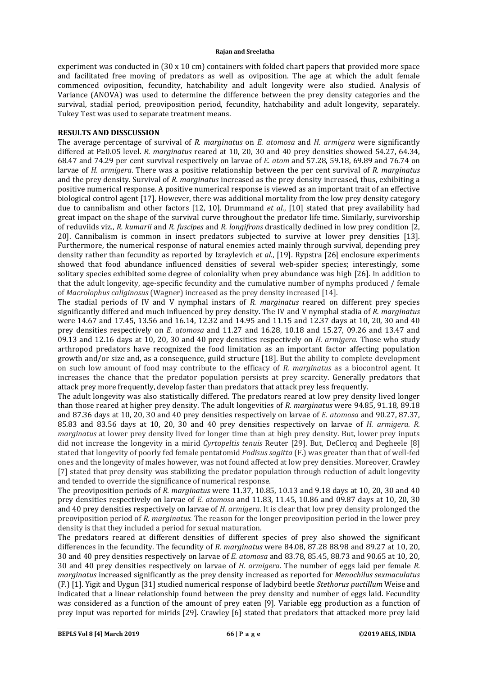#### **Rajan and Sreelatha**

experiment was conducted in  $(30 \times 10 \text{ cm})$  containers with folded chart papers that provided more space and facilitated free moving of predators as well as oviposition. The age at which the adult female commenced oviposition, fecundity, hatchability and adult longevity were also studied. Analysis of Variance (ANOVA) was used to determine the difference between the prey density categories and the survival, stadial period, preoviposition period, fecundity, hatchability and adult longevity, separately. Tukey Test was used to separate treatment means.

## **RESULTS AND DISSCUSSION**

The average percentage of survival of *R. marginatus* on *E. atomosa* and *H. armigera* were significantly differed at P≥0.05 level. *R. marginatus* reared at 10, 20, 30 and 40 prey densities showed 54.27, 64.34, 68.47 and 74.29 per cent survival respectively on larvae of *E. atom* and 57.28, 59.18, 69.89 and 76.74 on larvae of *H. armigera*. There was a positive relationship between the per cent survival of *R. marginatus*  and the prey density. Survival of *R. marginatus* increased as the prey density increased, thus, exhibiting a positive numerical response. A positive numerical response is viewed as an important trait of an effective biological control agent [17]. However, there was additional mortality from the low prey density category due to cannibalism and other factors [12, 10]. Drummand *et al*., [10] stated that prey availability had great impact on the shape of the survival curve throughout the predator life time. Similarly, survivorship of reduviids viz., *R. kumarii* and *R. fuscipes* and *R. longifrons* drastically declined in low prey condition [2, 20]. Cannibalism is common in insect predators subjected to survive at lower prey densities [13]. Furthermore, the numerical response of natural enemies acted mainly through survival, depending prey density rather than fecundity as reported by Izraylevich *et al*., [19]. Rypstra [26] enclosure experiments showed that food abundance influenced densities of several web-spider species; interestingly, some solitary species exhibited some degree of coloniality when prey abundance was high [26]. In addition to that the adult longevity, age-specific fecundity and the cumulative number of nymphs produced / female of *Macrolophus caliginosus* (Wagner) increased as the prey density increased [14].

The stadial periods of IV and V nymphal instars of *R. marginatus* reared on different prey species significantly differed and much influenced by prey density. The IV and V nymphal stadia of *R. marginatus*  were 14.67 and 17.45, 13.56 and 16.14, 12.32 and 14.95 and 11.15 and 12.37 days at 10, 20, 30 and 40 prey densities respectively on *E. atomosa* and 11.27 and 16.28, 10.18 and 15.27, 09.26 and 13.47 and 09.13 and 12.16 days at 10, 20, 30 and 40 prey densities respectively on *H. armigera.* Those who study arthropod predators have recognized the food limitation as an important factor affecting population growth and/or size and, as a consequence, guild structure [18]. But the ability to complete development on such low amount of food may contribute to the efficacy of *R. marginatus* as a biocontrol agent. It increases the chance that the predator population persists at prey scarcity. Generally predators that attack prey more frequently, develop faster than predators that attack prey less frequently.

The adult longevity was also statistically differed. The predators reared at low prey density lived longer than those reared at higher prey density. The adult longevities of *R. marginatus* were 94.85, 91.18, 89.18 and 87.36 days at 10, 20, 30 and 40 prey densities respectively on larvae of *E. atomosa* and 90.27, 87.37, 85.83 and 83.56 days at 10, 20, 30 and 40 prey densities respectively on larvae of *H. armigera. R. marginatus* at lower prey density lived for longer time than at high prey density. But, lower prey inputs did not increase the longevity in a mirid *Cyrtopeltis tenuis* Reuter [29]. But, DeClercq and Degheele [8] stated that longevity of poorly fed female pentatomid *Podisus sagitta* (F.) was greater than that of well-fed ones and the longevity of males however, was not found affected at low prey densities. Moreover, Crawley [7] stated that prey density was stabilizing the predator population through reduction of adult longevity and tended to override the significance of numerical response.

The preoviposition periods of *R. marginatus* were 11.37, 10.85, 10.13 and 9.18 days at 10, 20, 30 and 40 prey densities respectively on larvae of *E. atomosa* and 11.83, 11.45, 10.86 and 09.87 days at 10, 20, 30 and 40 prey densities respectively on larvae of *H. armigera*. It is clear that low prey density prolonged the preoviposition period of *R. marginatus*. The reason for the longer preoviposition period in the lower prey density is that they included a period for sexual maturation.

The predators reared at different densities of different species of prey also showed the significant differences in the fecundity. The fecundity of *R. marginatus* were 84.08, 87.28 88.98 and 89.27 at 10, 20, 30 and 40 prey densities respectively on larvae of *E. atomosa* and 83.78, 85.45, 88.73 and 90.65 at 10, 20, 30 and 40 prey densities respectively on larvae of *H. armigera*. The number of eggs laid per female *R. marginatus* increased significantly as the prey density increased as reported for *Menochilus sexmaculatus* (F.) [1]. Yigit and Uygun [31] studied numerical response of ladybird beetle *Stethorus puctillum* Weise and indicated that a linear relationship found between the prey density and number of eggs laid. Fecundity was considered as a function of the amount of prey eaten [9]. Variable egg production as a function of prey input was reported for mirids [29]. Crawley [6] stated that predators that attacked more prey laid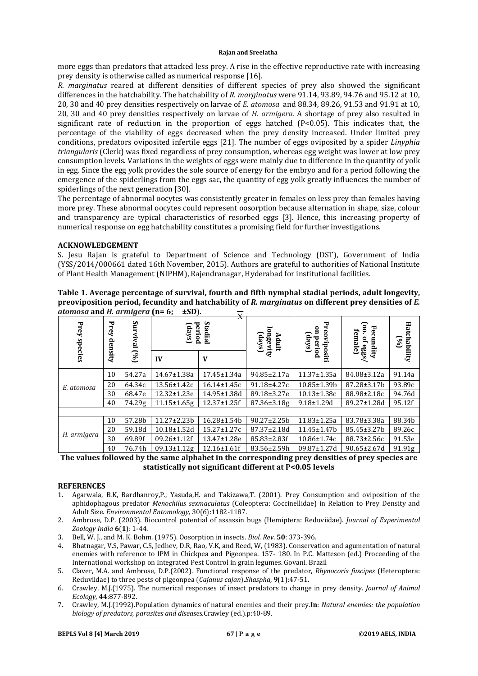more eggs than predators that attacked less prey. A rise in the effective reproductive rate with increasing prey density is otherwise called as numerical response [16].

*R. marginatus* reared at different densities of different species of prey also showed the significant differences in the hatchability. The hatchability of *R. marginatus* were 91.14, 93.89, 94.76 and 95.12 at 10, 20, 30 and 40 prey densities respectively on larvae of *E. atomosa* and 88.34, 89.26, 91.53 and 91.91 at 10, 20, 30 and 40 prey densities respectively on larvae of *H. armigera*. A shortage of prey also resulted in significant rate of reduction in the proportion of eggs hatched (P<0.05). This indicates that, the percentage of the viability of eggs decreased when the prey density increased. Under limited prey conditions, predators oviposited infertile eggs [21]. The number of eggs oviposited by a spider *Linyphia triangularis* (Clerk) was fixed regardless of prey consumption, whereas egg weight was lower at low prey consumption levels. Variations in the weights of eggs were mainly due to difference in the quantity of yolk in egg. Since the egg yolk provides the sole source of energy for the embryo and for a period following the emergence of the spiderlings from the eggs sac, the quantity of egg yolk greatly influences the number of spiderlings of the next generation [30].

The percentage of abnormal oocytes was consistently greater in females on less prey than females having more prey. These abnormal oocytes could represent oosorption because alternation in shape, size, colour and transparency are typical characteristics of resorbed eggs [3]. Hence, this increasing property of numerical response on egg hatchability constitutes a promising field for further investigations.

## **ACKNOWLEDGEMENT**

S. Jesu Rajan is grateful to Department of Science and Technology (DST), Government of India (YSS/2014/000661 dated 16th November, 2015). Authors are grateful to authorities of National Institute of Plant Health Management (NIPHM), Rajendranagar, Hyderabad for institutional facilities.

|                                           | Table 1. Average percentage of survival, fourth and fifth nymphal stadial periods, adult longevity,        |
|-------------------------------------------|------------------------------------------------------------------------------------------------------------|
|                                           | preoviposition period, fecundity and hatchability of $R$ . marginatus on different prey densities of $E$ . |
| atomosa and H. armiaera $(n=6; \pm SD)$ . |                                                                                                            |

| <b>Prey species</b> | Prey<br>density | $\frac{1}{2}$<br>Survival | ◡,<br>$\mathsf X$<br>Stadial<br>period<br>(aays) |                    | longevity<br>(days)<br>Adult | ទ<br>n period<br>(days)<br>$\mathbf{d}$ | Fecundity<br>o. of eggs/<br>female) | Hatchability<br>$\mathcal{S}$ |  |  |
|---------------------|-----------------|---------------------------|--------------------------------------------------|--------------------|------------------------------|-----------------------------------------|-------------------------------------|-------------------------------|--|--|
|                     |                 | $\widetilde{\mathcal{S}}$ | IV                                               | V                  |                              |                                         |                                     |                               |  |  |
| E. atomosa          | 10              | 54.27a                    | 14.67±1.38a                                      | 17.45±1.34a        | 94.85±2.17a                  | $11.37 \pm 1.35a$                       | 84.08±3.12a                         | 91.14a                        |  |  |
|                     | 20              | 64.34c                    | 13.56±1.42c                                      | $16.14 \pm 1.45c$  | 91.18±4.27c                  | 10.85±1.39b                             | 87.28±3.17b                         | 93.89c                        |  |  |
|                     | 30              | 68.47e                    | 12.32±1.23e                                      | 14.95±1.38d        | 89.18±3.27e                  | 10.13±1.38c                             | 88.98±2.18c                         | 94.76d                        |  |  |
|                     | 40              | 74.29g                    | 11.15±1.65g                                      | 12.37±1.25f        | 87.36±3.18g                  | $9.18 \pm 1.29$ d                       | 89.27±1.28d                         | 95.12f                        |  |  |
|                     |                 |                           |                                                  |                    |                              |                                         |                                     |                               |  |  |
| H. armigera         | 10              | 57.28b                    | $11.27 \pm 2.23b$                                | $16.28 \pm 1.54 b$ | $90.27 \pm 2.25 b$           | 11.83±1.25a                             | 83.78±3.38a                         | 88.34b                        |  |  |
|                     | 20              | 59.18d                    | 10.18±1.52d                                      | $15.27 \pm 1.27c$  | $87.37 \pm 2.18d$            | 11.45±1.47b                             | 85.45±3.27b                         | 89.26c                        |  |  |
|                     | 30              | 69.89f                    | $09.26 \pm 1.12f$                                | 13.47±1.28e        | 85.83±2.83f                  | 10.86±1.74c                             | 88.73±2.56c                         | 91.53e                        |  |  |
|                     | 40              | 76.74h                    | $09.13 \pm 1.12$ g                               | $12.16 \pm 1.61$ f | 83.56±2.59h                  | 09.87±1.27d                             | $90.65 \pm 2.67$ d                  | 91.91g                        |  |  |

**The values followed by the same alphabet in the corresponding prey densities of prey species are statistically not significant different at P<0.05 levels**

## **REFERENCES**

- 1. Agarwala, B.K, Bardhanroy,P., Yasuda,H. and Takizawa,T. (2001). Prey Consumption and oviposition of the aphidophagous predator *Menochilus sexmaculatus* (Coleoptera: Coccinellidae) in Relation to Prey Density and Adult Size. *Environmental Entomology,* 30(6):1182-1187.
- 2. Ambrose, D.P. (2003). Biocontrol potential of assassin bugs (Hemiptera: Reduviidae). *Journal of Experimental Zoology India* **6**(**1**): 1-44.
- 3. Bell, W. J., and M. K. Bohm. (1975). Oosorption in insects. *Biol. Rev*. **50**: 373-396.
- 4. Bhatnagar, V.S, Pawar, C.S, Jedhev, D.R, Rao, V.K, and Reed, W, (1983). Conservation and agumentation of natural enemies with reference to IPM in Chickpea and Pigeonpea. 157- 180. In P.C. Matteson (ed.) Proceeding of the International workshop on Integrated Pest Control in grain legumes. Govani. Brazil
- 5. Claver, M.A. and Ambrose, D.P.(2002). Functional response of the predator, *Rhynocoris fuscipes* (Heteroptera: Reduviidae) to three pests of pigeonpea (*Cajanus cajan*).*Shaspha*, **9**(1):47-51.
- 6. Crawley, M.J.(1975). The numerical responses of insect predators to change in prey density. *Journal of Animal Ecology*, **44**:877-892.
- 7. Crawley, M.J.(1992).Population dynamics of natural enemies and their prey.**In**: *Natural enemies: the population biology of predators, parasites and diseases.*Crawley (ed.).p:40-89.